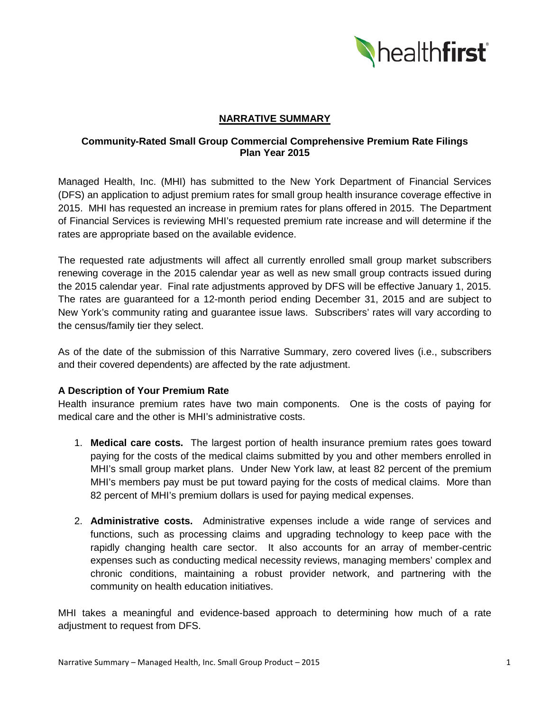

### **NARRATIVE SUMMARY**

# **Community-Rated Small Group Commercial Comprehensive Premium Rate Filings Plan Year 2015**

Managed Health, Inc. (MHI) has submitted to the New York Department of Financial Services (DFS) an application to adjust premium rates for small group health insurance coverage effective in 2015. MHI has requested an increase in premium rates for plans offered in 2015. The Department of Financial Services is reviewing MHI's requested premium rate increase and will determine if the rates are appropriate based on the available evidence.

The requested rate adjustments will affect all currently enrolled small group market subscribers renewing coverage in the 2015 calendar year as well as new small group contracts issued during the 2015 calendar year. Final rate adjustments approved by DFS will be effective January 1, 2015. The rates are guaranteed for a 12-month period ending December 31, 2015 and are subject to New York's community rating and guarantee issue laws. Subscribers' rates will vary according to the census/family tier they select.

As of the date of the submission of this Narrative Summary, zero covered lives (i.e., subscribers and their covered dependents) are affected by the rate adjustment.

# **A Description of Your Premium Rate**

Health insurance premium rates have two main components. One is the costs of paying for medical care and the other is MHI's administrative costs.

- 1. **Medical care costs.** The largest portion of health insurance premium rates goes toward paying for the costs of the medical claims submitted by you and other members enrolled in MHI's small group market plans. Under New York law, at least 82 percent of the premium MHI's members pay must be put toward paying for the costs of medical claims. More than 82 percent of MHI's premium dollars is used for paying medical expenses.
- 2. **Administrative costs.** Administrative expenses include a wide range of services and functions, such as processing claims and upgrading technology to keep pace with the rapidly changing health care sector. It also accounts for an array of member-centric expenses such as conducting medical necessity reviews, managing members' complex and chronic conditions, maintaining a robust provider network, and partnering with the community on health education initiatives.

MHI takes a meaningful and evidence-based approach to determining how much of a rate adjustment to request from DFS.